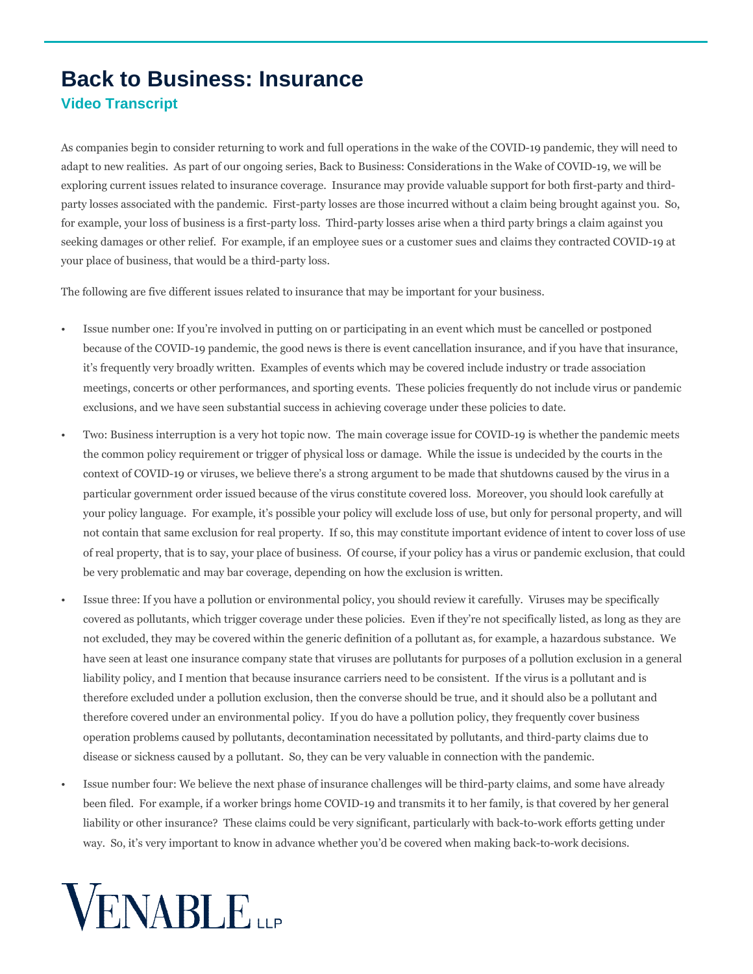## **Back to Business: Insurance Video Transcript**

As companies begin to consider returning to work and full operations in the wake of the COVID-19 pandemic, they will need to adapt to new realities. As part of our ongoing series, Back to Business: Considerations in the Wake of COVID-19, we will be exploring current issues related to insurance coverage. Insurance may provide valuable support for both first-party and thirdparty losses associated with the pandemic. First-party losses are those incurred without a claim being brought against you. So, for example, your loss of business is a first-party loss. Third-party losses arise when a third party brings a claim against you seeking damages or other relief. For example, if an employee sues or a customer sues and claims they contracted COVID-19 at your place of business, that would be a third-party loss.

The following are five different issues related to insurance that may be important for your business.

- Issue number one: If you're involved in putting on or participating in an event which must be cancelled or postponed because of the COVID-19 pandemic, the good news is there is event cancellation insurance, and if you have that insurance, it's frequently very broadly written. Examples of events which may be covered include industry or trade association meetings, concerts or other performances, and sporting events. These policies frequently do not include virus or pandemic exclusions, and we have seen substantial success in achieving coverage under these policies to date.
- Two: Business interruption is a very hot topic now. The main coverage issue for COVID-19 is whether the pandemic meets the common policy requirement or trigger of physical loss or damage. While the issue is undecided by the courts in the context of COVID-19 or viruses, we believe there's a strong argument to be made that shutdowns caused by the virus in a particular government order issued because of the virus constitute covered loss. Moreover, you should look carefully at your policy language. For example, it's possible your policy will exclude loss of use, but only for personal property, and will not contain that same exclusion for real property. If so, this may constitute important evidence of intent to cover loss of use of real property, that is to say, your place of business. Of course, if your policy has a virus or pandemic exclusion, that could be very problematic and may bar coverage, depending on how the exclusion is written.
- Issue three: If you have a pollution or environmental policy, you should review it carefully. Viruses may be specifically covered as pollutants, which trigger coverage under these policies. Even if they're not specifically listed, as long as they are not excluded, they may be covered within the generic definition of a pollutant as, for example, a hazardous substance. We have seen at least one insurance company state that viruses are pollutants for purposes of a pollution exclusion in a general liability policy, and I mention that because insurance carriers need to be consistent. If the virus is a pollutant and is therefore excluded under a pollution exclusion, then the converse should be true, and it should also be a pollutant and therefore covered under an environmental policy. If you do have a pollution policy, they frequently cover business operation problems caused by pollutants, decontamination necessitated by pollutants, and third-party claims due to disease or sickness caused by a pollutant. So, they can be very valuable in connection with the pandemic.
- Issue number four: We believe the next phase of insurance challenges will be third-party claims, and some have already been filed. For example, if a worker brings home COVID-19 and transmits it to her family, is that covered by her general liability or other insurance? These claims could be very significant, particularly with back-to-work efforts getting under way. So, it's very important to know in advance whether you'd be covered when making back-to-work decisions.